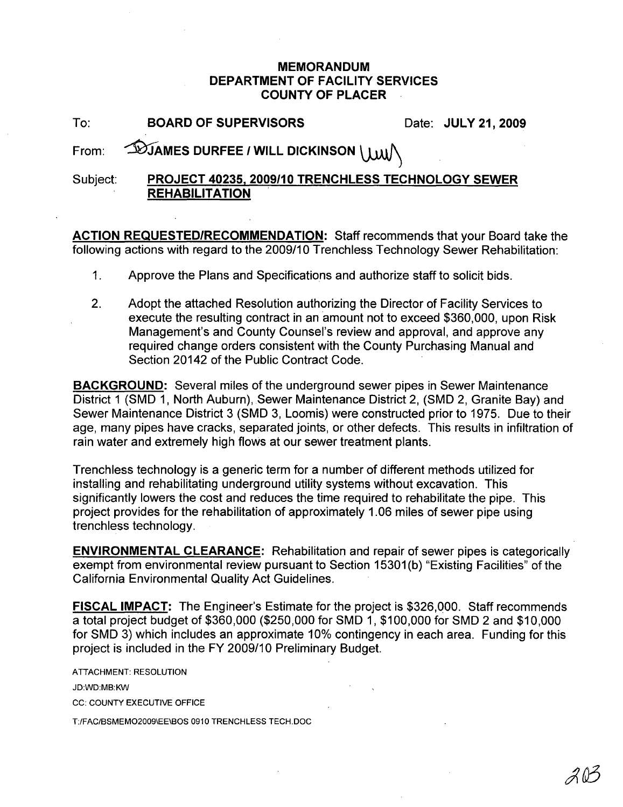## **MEMORANDUM DEPARTMENT OF FACILITY SERVICES COUNTY OF PLACER**

| To: | <b>BOARD OF SUPERVISORS</b> | Date: JULY 21, 2009 |
|-----|-----------------------------|---------------------|
|-----|-----------------------------|---------------------|

## From:  $\bigcirc$ **MIAMES DURFEE** / WILL DICKINSON

## Subject: **PROJECT 40235, 2009/10** TRENCHLESS **TECHNOLOGY SEWER REHABILITATION**

**ACTION REQUESTED/RECOMMENDATION:** Staff recommends that your Board take the following actions with regard to the 2009/10 Trenchless Technology Sewer Rehabilitation:

- 1. Approve the Plans and Specifications and authorize staff to solicit bids.
- 2. Adopt the attached Resolution authorizing the Director of Facility Services to execute the resulting contract in an amount not to exceed \$360,000, upon Risk Management's and County Counsel's review and approval, and approve any required change orders consistent with the County Purchasing Manual and Section 20142 of the Public Contract Code.

**BACKGROUND:** Several miles of the underground sewer pipes in Sewer Maintenance District 1 (SMD 1, North Auburn), Sewer Maintenance District 2, (SMD 2, Granite Bay) and Sewer Maintenance District 3 (SMD 3, Loomis) were constructed prior to 1975. Due to their age, many pipes have cracks, separated joints, or other defects. This results in infiltration of rain water and extremely high flows at our sewer treatment plants.

Trenchless technology is a generic term for a number of different methods utilized for installing and rehabilitating underground utility systems without excavation. This significantly lowers the cost and reduces the time required to rehabilitate the pipe. This project provides for the rehabilitation of approximately 1.06 miles of sewer pipe using trenchless technology.

**ENVIRONMENTAL CLEARANCE:** Rehabilitation and repair of sewer pipes is categorically exempt from environmental review pursuant to Section 15301 (b) "Existing Facilities" of the California Environmental Quality Act Guidelines.

**FISCAL IMPACT:** The Engineer's Estimate for the project is \$326,000. Staff recommends a total project budget of \$360,000 (\$250,000 for SMD 1, \$100,000 for SMD 2 and \$10,000 for SMD 3) which includes an approximate 10% contingency in each area. Funding for this project is included in the **FY** 2009/10 Preliminary Budget.

ATTACHMENT: RESOLUTION JD:WD:MB:KW CC: COUNTY EXECUTIVE OFFICE

T:lFAC/BSMEM02009\EE\BOS 0910 TRENCHLESS TECH.DOC